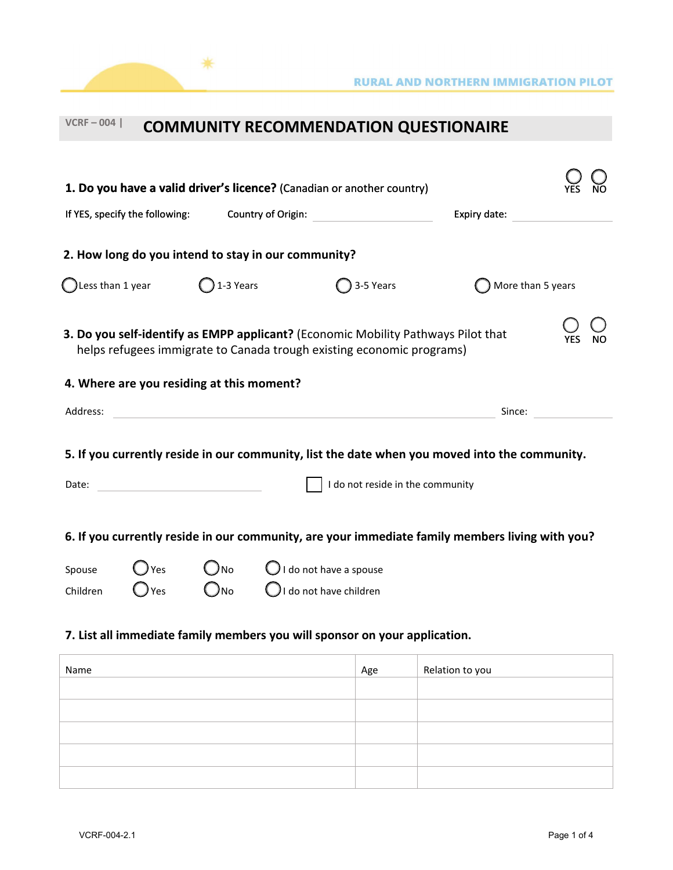| $VCRF - 004$                                                                                                                                                                                            |                     |                                |                                                                       | <b>COMMUNITY RECOMMENDATION QUESTIONAIRE</b>                                                                                 |                                                                                                                |                   |  |
|---------------------------------------------------------------------------------------------------------------------------------------------------------------------------------------------------------|---------------------|--------------------------------|-----------------------------------------------------------------------|------------------------------------------------------------------------------------------------------------------------------|----------------------------------------------------------------------------------------------------------------|-------------------|--|
| If YES, specify the following:                                                                                                                                                                          |                     |                                |                                                                       | 1. Do you have a valid driver's licence? (Canadian or another country)<br>Country of Origin: <u>________________________</u> | Expiry date: Expire to the state of the state of the state of the state of the state of the state of the state |                   |  |
| 2. How long do you intend to stay in our community?                                                                                                                                                     |                     |                                |                                                                       |                                                                                                                              |                                                                                                                |                   |  |
| Less than 1 year                                                                                                                                                                                        |                     | $\bigcap$ 1-3 Years            |                                                                       | 3-5 Years                                                                                                                    |                                                                                                                | More than 5 years |  |
| 3. Do you self-identify as EMPP applicant? (Economic Mobility Pathways Pilot that<br>helps refugees immigrate to Canada trough existing economic programs)<br>4. Where are you residing at this moment? |                     |                                |                                                                       |                                                                                                                              |                                                                                                                |                   |  |
| Address:                                                                                                                                                                                                |                     |                                |                                                                       | Since:                                                                                                                       |                                                                                                                |                   |  |
| 5. If you currently reside in our community, list the date when you moved into the community.<br>I do not reside in the community<br>Date:<br><u> 1990 - Johann Barbara, martin a</u>                   |                     |                                |                                                                       |                                                                                                                              |                                                                                                                |                   |  |
| 6. If you currently reside in our community, are your immediate family members living with you?                                                                                                         |                     |                                |                                                                       |                                                                                                                              |                                                                                                                |                   |  |
| Spouse<br>Children                                                                                                                                                                                      | ) Yes<br><b>Yes</b> | $\bigcirc$ No<br>$\bigcirc$ no | $\bigcirc$ I do not have a spouse<br>$\bigcup$ I do not have children |                                                                                                                              |                                                                                                                |                   |  |

### **7. List all immediate family members you will sponsor on your application.**

 $*$ 

| Name | Age | Relation to you |
|------|-----|-----------------|
|      |     |                 |
|      |     |                 |
|      |     |                 |
|      |     |                 |
|      |     |                 |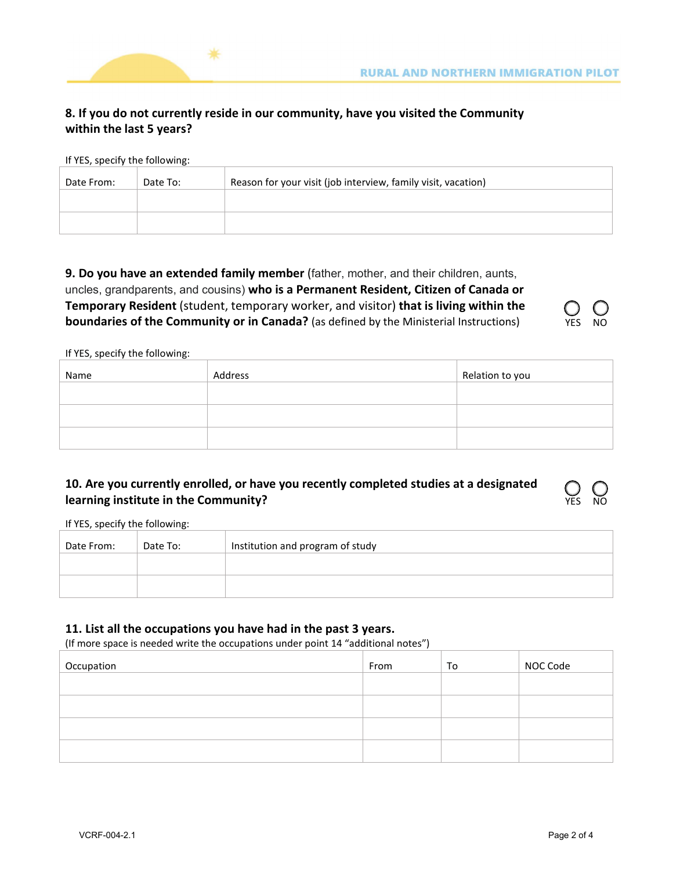

## **8. If you do not currently reside in our community, have you visited the Community within the last 5 years?**

If YES, specify the following:

| Date From: | Date To: | Reason for your visit (job interview, family visit, vacation) |
|------------|----------|---------------------------------------------------------------|
|            |          |                                                               |
|            |          |                                                               |

**9. Do you have an extended family member** (father, mother, and their children, aunts, uncles, grandparents, and cousins) **who is a Permanent Resident, Citizen of Canada or Temporary Resident** (student, temporary worker, and visitor) **that is living within the boundaries of the Community or in Canada?** (as defined by the Ministerial Instructions)

If YES, specify the following:

| Name | Address | Relation to you |
|------|---------|-----------------|
|      |         |                 |
|      |         |                 |
|      |         |                 |

### **10. Are you currently enrolled, or have you recently completed studies at a designated learning institute in the Community?**

If YES, specify the following:

| Date From: | Date To: | Institution and program of study |
|------------|----------|----------------------------------|
|            |          |                                  |
|            |          |                                  |

#### **11. List all the occupations you have had in the past 3 years.**

(If more space is needed write the occupations under point 14 "additional notes")

| Occupation | From | To | NOC Code |
|------------|------|----|----------|
|            |      |    |          |
|            |      |    |          |
|            |      |    |          |
|            |      |    |          |

YES NO

YES NO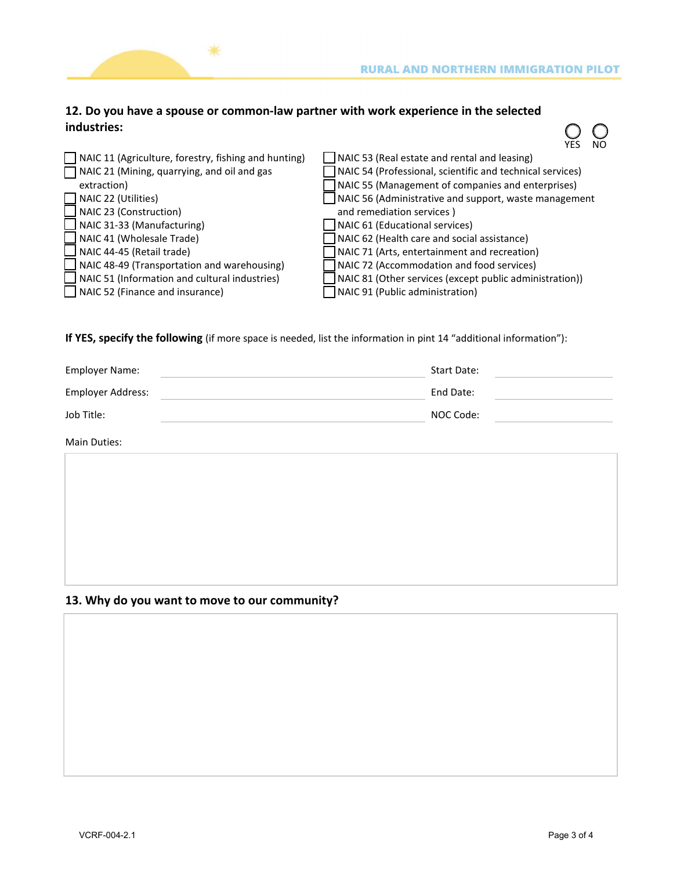

 $\overline{O}$ 

### **12. Do you have a spouse or common-law partner with work experience in the selected industries:**

∗

|                                                             | YES<br><b>INU</b>                                            |
|-------------------------------------------------------------|--------------------------------------------------------------|
| $\Box$ NAIC 11 (Agriculture, forestry, fishing and hunting) | $\Box$ NAIC 53 (Real estate and rental and leasing)          |
| NAIC 21 (Mining, quarrying, and oil and gas                 | NAIC 54 (Professional, scientific and technical services)    |
| extraction)                                                 | NAIC 55 (Management of companies and enterprises)            |
| $\Box$ NAIC 22 (Utilities)                                  | $\Box$ NAIC 56 (Administrative and support, waste management |
| $\Box$ NAIC 23 (Construction)                               | and remediation services)                                    |
| $\Box$ NAIC 31-33 (Manufacturing)                           | NAIC 61 (Educational services)                               |
| $\Box$ NAIC 41 (Wholesale Trade)                            | NAIC 62 (Health care and social assistance)                  |
| $\Box$ NAIC 44-45 (Retail trade)                            | NAIC 71 (Arts, entertainment and recreation)                 |
| $\Box$ NAIC 48-49 (Transportation and warehousing)          | NAIC 72 (Accommodation and food services)                    |
| $\Box$ NAIC 51 (Information and cultural industries)        | NAIC 81 (Other services (except public administration))      |
| $\Box$ NAIC 52 (Finance and insurance)                      | NAIC 91 (Public administration)                              |

**If YES, specify the following** (if more space is needed, list the information in pint 14 "additional information"):

| <b>Employer Name:</b> | <b>Start Date:</b> |
|-----------------------|--------------------|
| Employer Address:     | End Date:          |
| Job Title:            | NOC Code:          |

Main Duties:

### **13. Why do you want to move to our community?**